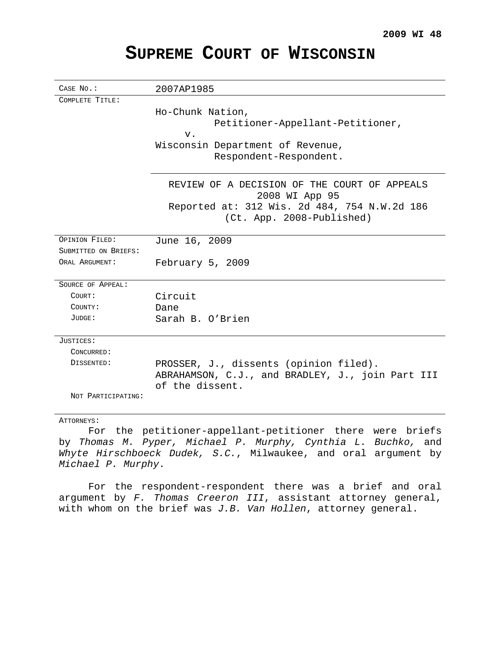# CASE NO.: 2007AP1985 COMPLETE TITLE: Ho-Chunk Nation, Petitioner-Appellant-Petitioner, v. Wisconsin Department of Revenue, Respondent-Respondent. REVIEW OF A DECISION OF THE COURT OF APPEALS 2008 WI App 95 Reported at: 312 Wis. 2d 484, 754 N.W.2d 186 (Ct. App. 2008-Published) OPINION FILED: June 16, 2009 SUBMITTED ON BRIEFS: ORAL ARGUMENT: February 5, 2009 SOURCE OF APPEAL: COURT: Circuit COUNTY: Dane JUDGE: Sarah B. O'Brien JUSTICES: CONCURRED: DISSENTED: PROSSER, J., dissents (opinion filed). ABRAHAMSON, C.J., and BRADLEY, J., join Part III of the dissent. NOT PARTICIPATING:

# **SUPREME COURT OF WISCONSIN**

ATTORNEYS:

For the petitioner-appellant-petitioner there were briefs by Thomas M. Pyper, Michael P. Murphy, Cynthia L. Buchko, and Whyte Hirschboeck Dudek, S.C., Milwaukee, and oral argument by Michael P. Murphy.

For the respondent-respondent there was a brief and oral argument by F. Thomas Creeron III, assistant attorney general, with whom on the brief was  $J.B.$  Van Hollen, attorney general.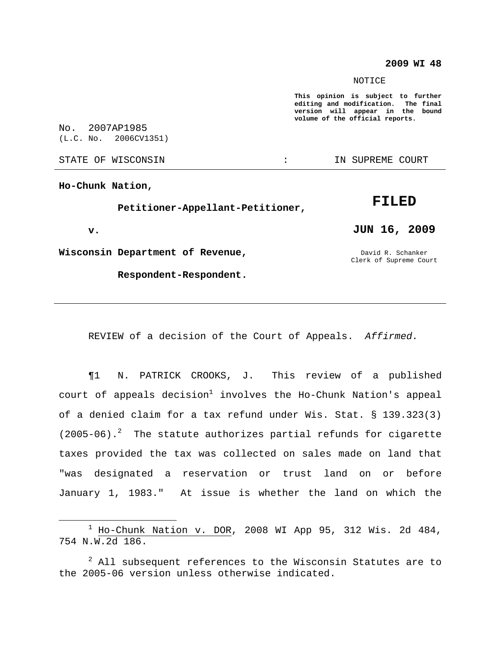## **2009 WI 48**

#### **NOTICE**

**This opinion is subject to further editing and modification. The final version will appear in the bound volume of the official reports.**

No. 2007AP1985 (L.C. No. 2006CV1351)

STATE OF WISCONSIN **EXECUTE:** IN SUPREME COURT

**Ho-Chunk Nation,**

**Petitioner-Appellant-Petitioner,**

**v.**

**Wisconsin Department of Revenue,**

**Respondent-Respondent.**

**FILED JUN 16, 2009**

David R. Schanker Clerk of Supreme Court

REVIEW of a decision of the Court of Appeals. Affirmed.

¶1 N. PATRICK CROOKS, J. This review of a published court of appeals decision $^1$  involves the Ho-Chunk Nation's appeal of a denied claim for a tax refund under Wis. Stat. § 139.323(3) (2005-06). <sup>2</sup> The statute authorizes partial refunds for cigarette taxes provided the tax was collected on sales made on land that "was designated a reservation or trust land on or before January 1, 1983." At issue is whether the land on which the

 $1$  Ho-Chunk Nation v. DOR, 2008 WI App 95, 312 Wis. 2d 484, 754 N.W.2d 186.

 $2$  All subsequent references to the Wisconsin Statutes are to the 2005-06 version unless otherwise indicated.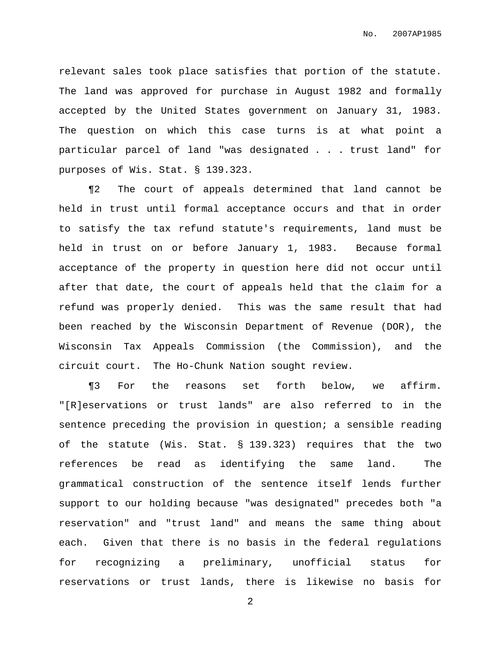relevant sales took place satisfies that portion of the statute. The land was approved for purchase in August 1982 and formally accepted by the United States government on January 31, 1983. The question on which this case turns is at what point a particular parcel of land "was designated . . . trust land" for purposes of Wis. Stat. § 139.323.

¶2 The court of appeals determined that land cannot be held in trust until formal acceptance occurs and that in order to satisfy the tax refund statute's requirements, land must be held in trust on or before January 1, 1983. Because formal acceptance of the property in question here did not occur until after that date, the court of appeals held that the claim for a refund was properly denied. This was the same result that had been reached by the Wisconsin Department of Revenue (DOR), the Wisconsin Tax Appeals Commission (the Commission), and the circuit court. The Ho-Chunk Nation sought review.

¶3 For the reasons set forth below, we affirm. "[R]eservations or trust lands" are also referred to in the sentence preceding the provision in question; a sensible reading of the statute (Wis. Stat. § 139.323) requires that the two references be read as identifying the same land. The grammatical construction of the sentence itself lends further support to our holding because "was designated" precedes both "a reservation" and "trust land" and means the same thing about each. Given that there is no basis in the federal regulations for recognizing a preliminary, unofficial status for reservations or trust lands, there is likewise no basis for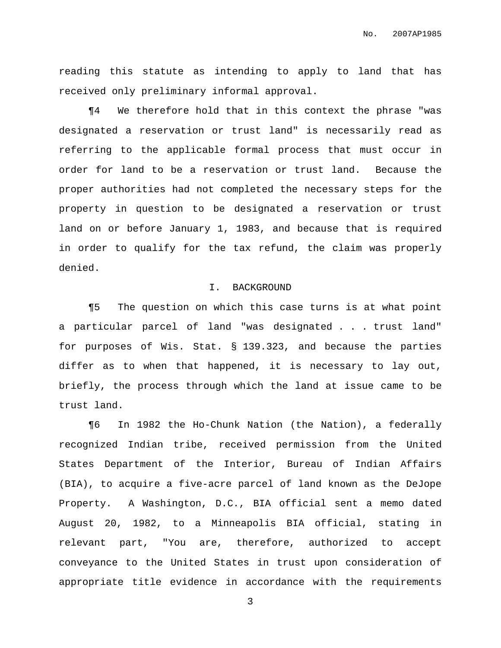reading this statute as intending to apply to land that has received only preliminary informal approval.

¶4 We therefore hold that in this context the phrase "was designated a reservation or trust land" is necessarily read as referring to the applicable formal process that must occur in order for land to be a reservation or trust land. Because the proper authorities had not completed the necessary steps for the property in question to be designated a reservation or trust land on or before January 1, 1983, and because that is required in order to qualify for the tax refund, the claim was properly denied.

# I. BACKGROUND

¶5 The question on which this case turns is at what point a particular parcel of land "was designated . . . trust land" for purposes of Wis. Stat. § 139.323, and because the parties differ as to when that happened, it is necessary to lay out, briefly, the process through which the land at issue came to be trust land.

¶6 In 1982 the Ho-Chunk Nation (the Nation), a federally recognized Indian tribe, received permission from the United States Department of the Interior, Bureau of Indian Affairs (BIA), to acquire a five-acre parcel of land known as the DeJope Property. A Washington, D.C., BIA official sent a memo dated August 20, 1982, to a Minneapolis BIA official, stating in relevant part, "You are, therefore, authorized to accept conveyance to the United States in trust upon consideration of appropriate title evidence in accordance with the requirements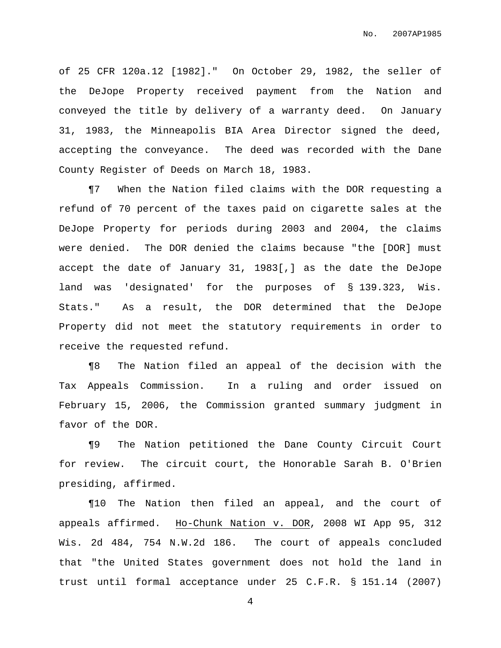of 25 CFR 120a.12 [1982]." On October 29, 1982, the seller of the DeJope Property received payment from the Nation and conveyed the title by delivery of a warranty deed. On January 31, 1983, the Minneapolis BIA Area Director signed the deed, accepting the conveyance. The deed was recorded with the Dane County Register of Deeds on March 18, 1983.

¶7 When the Nation filed claims with the DOR requesting a refund of 70 percent of the taxes paid on cigarette sales at the DeJope Property for periods during 2003 and 2004, the claims were denied. The DOR denied the claims because "the [DOR] must accept the date of January 31, 1983[,] as the date the DeJope land was 'designated' for the purposes of § 139.323, Wis. Stats." As a result, the DOR determined that the DeJope Property did not meet the statutory requirements in order to receive the requested refund.

¶8 The Nation filed an appeal of the decision with the Tax Appeals Commission. In a ruling and order issued on February 15, 2006, the Commission granted summary judgment in favor of the DOR.

¶9 The Nation petitioned the Dane County Circuit Court for review. The circuit court, the Honorable Sarah B. O'Brien presiding, affirmed.

¶10 The Nation then filed an appeal, and the court of appeals affirmed. Ho-Chunk Nation v. DOR, 2008 WI App 95, 312 Wis. 2d 484, 754 N.W.2d 186. The court of appeals concluded that "the United States government does not hold the land in trust until formal acceptance under 25 C.F.R. § 151.14 (2007)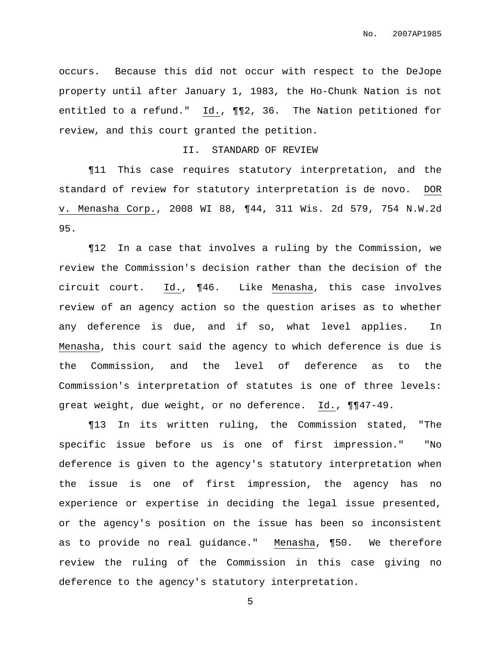occurs. Because this did not occur with respect to the DeJope property until after January 1, 1983, the Ho-Chunk Nation is not entitled to a refund." Id., ¶¶2, 36. The Nation petitioned for review, and this court granted the petition.

## II. STANDARD OF REVIEW

¶11 This case requires statutory interpretation, and the standard of review for statutory interpretation is de novo. DOR v. Menasha Corp., 2008 WI 88, ¶44, 311 Wis. 2d 579, 754 N.W.2d 95.

¶12 In a case that involves a ruling by the Commission, we review the Commission's decision rather than the decision of the circuit court. Id., ¶46. Like Menasha, this case involves review of an agency action so the question arises as to whether any deference is due, and if so, what level applies. In Menasha, this court said the agency to which deference is due is the Commission, and the level of deference as to the Commission's interpretation of statutes is one of three levels: great weight, due weight, or no deference. Id., ¶¶47-49.

¶13 In its written ruling, the Commission stated, "The specific issue before us is one of first impression." "No deference is given to the agency's statutory interpretation when the issue is one of first impression, the agency has no experience or expertise in deciding the legal issue presented, or the agency's position on the issue has been so inconsistent as to provide no real guidance." Menasha, ¶50. We therefore review the ruling of the Commission in this case giving no deference to the agency's statutory interpretation.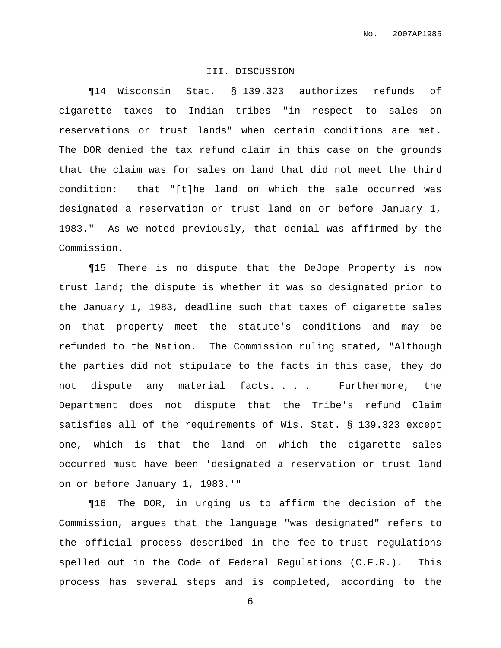# III. DISCUSSION

¶14 Wisconsin Stat. § 139.323 authorizes refunds of cigarette taxes to Indian tribes "in respect to sales on reservations or trust lands" when certain conditions are met. The DOR denied the tax refund claim in this case on the grounds that the claim was for sales on land that did not meet the third condition: that "[t]he land on which the sale occurred was designated a reservation or trust land on or before January 1, 1983." As we noted previously, that denial was affirmed by the Commission.

¶15 There is no dispute that the DeJope Property is now trust land; the dispute is whether it was so designated prior to the January 1, 1983, deadline such that taxes of cigarette sales on that property meet the statute's conditions and may be refunded to the Nation. The Commission ruling stated, "Although the parties did not stipulate to the facts in this case, they do not dispute any material facts. . . . Furthermore, the Department does not dispute that the Tribe's refund Claim satisfies all of the requirements of Wis. Stat. § 139.323 except one, which is that the land on which the cigarette sales occurred must have been 'designated a reservation or trust land on or before January 1, 1983.'"

¶16 The DOR, in urging us to affirm the decision of the Commission, argues that the language "was designated" refers to the official process described in the fee-to-trust regulations spelled out in the Code of Federal Regulations (C.F.R.). This process has several steps and is completed, according to the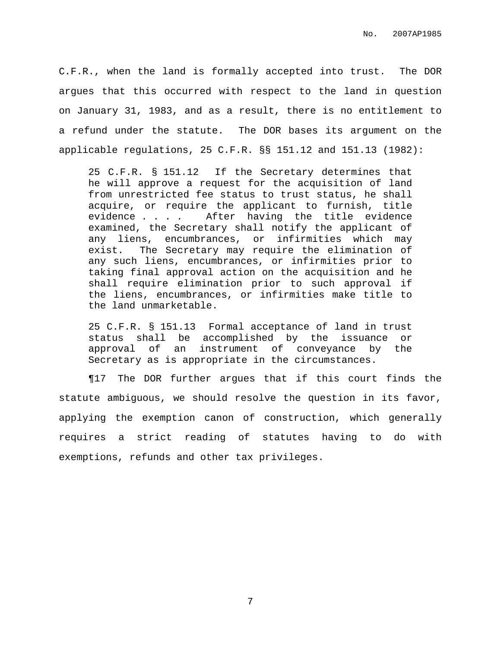C.F.R., when the land is formally accepted into trust. The DOR argues that this occurred with respect to the land in question on January 31, 1983, and as a result, there is no entitlement to a refund under the statute. The DOR bases its argument on the applicable regulations, 25 C.F.R. §§ 151.12 and 151.13 (1982):

25 C.F.R. § 151.12 If the Secretary determines that he will approve a request for the acquisition of land from unrestricted fee status to trust status, he shall acquire, or require the applicant to furnish, title evidence . . . . After having the title evidence examined, the Secretary shall notify the applicant of any liens, encumbrances, or infirmities which may exist. The Secretary may require the elimination of any such liens, encumbrances, or infirmities prior to taking final approval action on the acquisition and he shall require elimination prior to such approval if the liens, encumbrances, or infirmities make title to the land unmarketable.

25 C.F.R. § 151.13 Formal acceptance of land in trust status shall be accomplished by the issuance or approval of an instrument of conveyance by the Secretary as is appropriate in the circumstances.

¶17 The DOR further argues that if this court finds the statute ambiguous, we should resolve the question in its favor, applying the exemption canon of construction, which generally requires a strict reading of statutes having to do with exemptions, refunds and other tax privileges.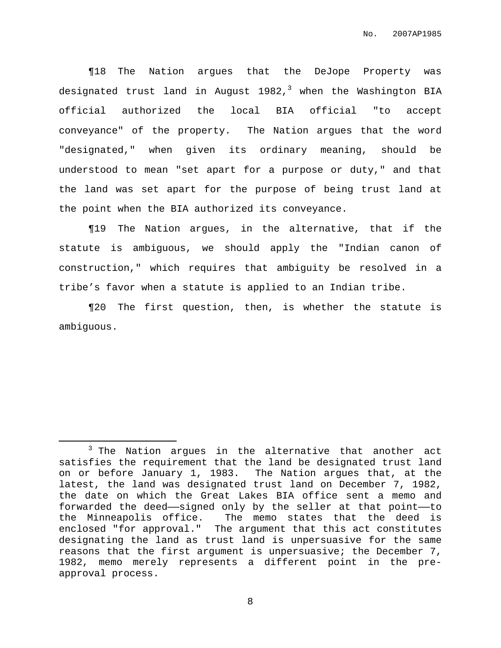¶18 The Nation argues that the DeJope Property was designated trust land in August 1982,<sup>3</sup> when the Washington BIA official authorized the local BIA official "to accept conveyance" of the property. The Nation argues that the word "designated," when given its ordinary meaning, should be understood to mean "set apart for a purpose or duty," and that the land was set apart for the purpose of being trust land at the point when the BIA authorized its conveyance.

¶19 The Nation argues, in the alternative, that if the statute is ambiguous, we should apply the "Indian canon of construction," which requires that ambiguity be resolved in a tribe's favor when a statute is applied to an Indian tribe.

¶20 The first question, then, is whether the statute is ambiguous.

 $3$  The Nation argues in the alternative that another act satisfies the requirement that the land be designated trust land on or before January 1, 1983. The Nation argues that, at the latest, the land was designated trust land on December 7, 1982, the date on which the Great Lakes BIA office sent a memo and forwarded the deed——signed only by the seller at that point——to the Minneapolis office. The memo states that the deed is enclosed "for approval." The argument that this act constitutes designating the land as trust land is unpersuasive for the same reasons that the first argument is unpersuasive; the December 7, 1982, memo merely represents a different point in the preapproval process.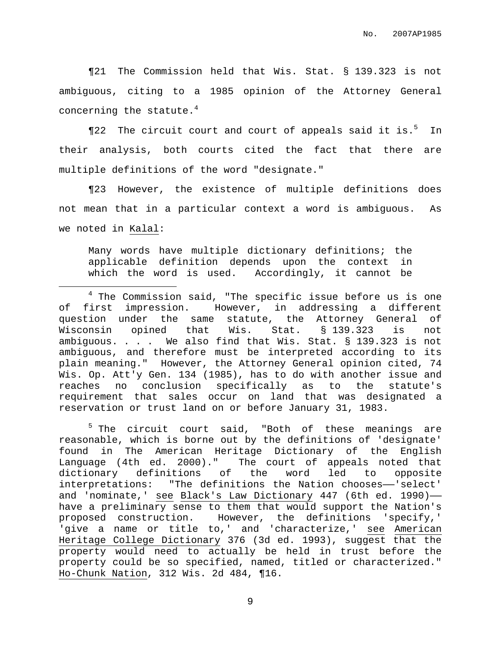¶21 The Commission held that Wis. Stat. § 139.323 is not ambiguous, citing to a 1985 opinion of the Attorney General concerning the statute. $^4$ 

¶22 The circuit court and court of appeals said it is.<sup>5</sup> In their analysis, both courts cited the fact that there are multiple definitions of the word "designate."

¶23 However, the existence of multiple definitions does not mean that in a particular context a word is ambiguous. As we noted in Kalal:

Many words have multiple dictionary definitions; the applicable definition depends upon the context in which the word is used. Accordingly, it cannot be

 $5$  The circuit court said, "Both of these meanings are reasonable, which is borne out by the definitions of 'designate' found in The American Heritage Dictionary of the English The court of appeals noted that dictionary definitions of the word led to opposite interpretations: "The definitions the Nation chooses--'select' and 'nominate,' see Black's Law Dictionary 447 (6th ed. 1990)— have a preliminary sense to them that would support the Nation's proposed construction. However, the definitions 'specify,' 'give a name or title to,' and 'characterize,' see American Heritage College Dictionary 376 (3d ed. 1993), suggest that the property would need to actually be held in trust before the property could be so specified, named, titled or characterized." Ho-Chunk Nation, 312 Wis. 2d 484, ¶16.

 $4$  The Commission said, "The specific issue before us is one of first impression. However, in addressing a different question under the same statute, the Attorney General of Wisconsin opined that Wis. Stat. § 139.323 is not ambiguous. . . . We also find that Wis. Stat. § 139.323 is not ambiguous, and therefore must be interpreted according to its plain meaning." However, the Attorney General opinion cited, 74 Wis. Op. Att'y Gen. 134 (1985), has to do with another issue and reaches no conclusion specifically as to the statute's requirement that sales occur on land that was designated a reservation or trust land on or before January 31, 1983.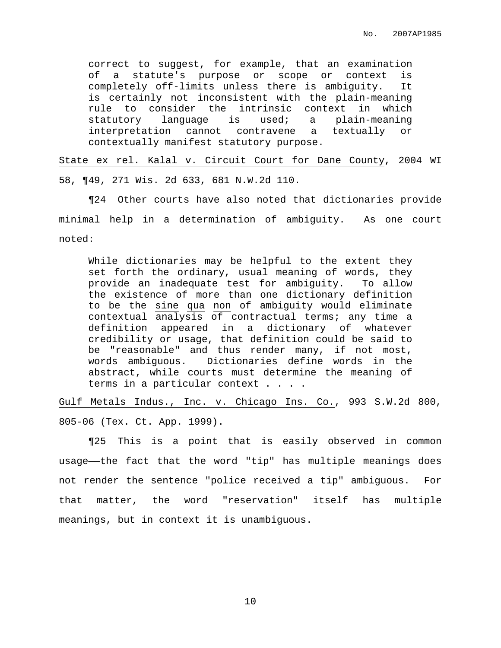correct to suggest, for example, that an examination of a statute's purpose or scope or context is completely off-limits unless there is ambiguity. It is certainly not inconsistent with the plain-meaning rule to consider the intrinsic context in which statutory language is used; a plain-meaning interpretation cannot contravene a textually or contextually manifest statutory purpose.

State ex rel. Kalal v. Circuit Court for Dane County, 2004 WI 58, ¶49, 271 Wis. 2d 633, 681 N.W.2d 110.

¶24 Other courts have also noted that dictionaries provide minimal help in a determination of ambiguity. As one court noted:

While dictionaries may be helpful to the extent they set forth the ordinary, usual meaning of words, they provide an inadequate test for ambiguity. To allow the existence of more than one dictionary definition to be the sine qua non of ambiguity would eliminate contextual analysis of contractual terms; any time a definition appeared in a dictionary of whatever credibility or usage, that definition could be said to be "reasonable" and thus render many, if not most, words ambiguous. Dictionaries define words in the abstract, while courts must determine the meaning of terms in a particular context . . . .

Gulf Metals Indus., Inc. v. Chicago Ins. Co., 993 S.W.2d 800, 805-06 (Tex. Ct. App. 1999).

¶25 This is a point that is easily observed in common usage——the fact that the word "tip" has multiple meanings does not render the sentence "police received a tip" ambiguous. For that matter, the word "reservation" itself has multiple meanings, but in context it is unambiguous.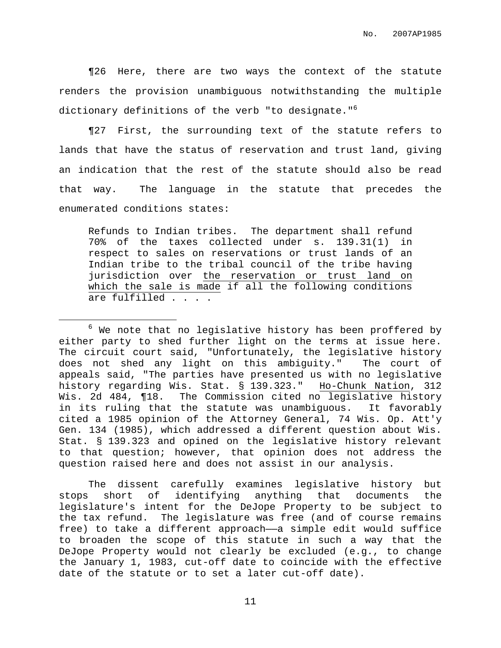¶26 Here, there are two ways the context of the statute renders the provision unambiguous notwithstanding the multiple dictionary definitions of the verb "to designate." 6

¶27 First, the surrounding text of the statute refers to lands that have the status of reservation and trust land, giving an indication that the rest of the statute should also be read that way. The language in the statute that precedes the enumerated conditions states:

Refunds to Indian tribes. The department shall refund 70% of the taxes collected under s. 139.31(1) in respect to sales on reservations or trust lands of an Indian tribe to the tribal council of the tribe having jurisdiction over the reservation or trust land on which the sale is made if all the following conditions are fulfilled . . . .

The dissent carefully examines legislative history but stops short of identifying anything that documents the legislature's intent for the DeJope Property to be subject to the tax refund. The legislature was free (and of course remains free) to take a different approach—a simple edit would suffice to broaden the scope of this statute in such a way that the DeJope Property would not clearly be excluded (e.g., to change the January 1, 1983, cut-off date to coincide with the effective date of the statute or to set a later cut-off date).

 $6$  We note that no legislative history has been proffered by either party to shed further light on the terms at issue here. The circuit court said, "Unfortunately, the legislative history does not shed any light on this ambiguity." The court of appeals said, "The parties have presented us with no legislative history regarding Wis. Stat. § 139.323." Ho-Chunk Nation, 312 Wis. 2d 484, ¶18. The Commission cited no legislative history in its ruling that the statute was unambiguous. It favorably cited a 1985 opinion of the Attorney General, 74 Wis. Op. Att'y Gen. 134 (1985), which addressed a different question about Wis. Stat. § 139.323 and opined on the legislative history relevant to that question; however, that opinion does not address the question raised here and does not assist in our analysis.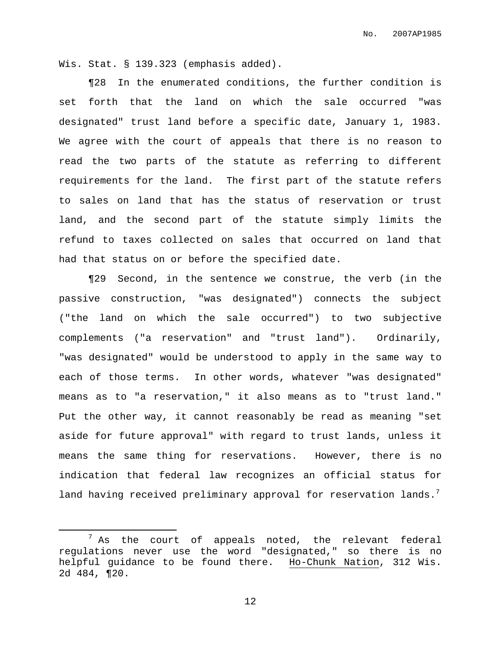Wis. Stat. § 139.323 (emphasis added).

¶28 In the enumerated conditions, the further condition is set forth that the land on which the sale occurred "was designated" trust land before a specific date, January 1, 1983. We agree with the court of appeals that there is no reason to read the two parts of the statute as referring to different requirements for the land. The first part of the statute refers to sales on land that has the status of reservation or trust land, and the second part of the statute simply limits the refund to taxes collected on sales that occurred on land that had that status on or before the specified date.

¶29 Second, in the sentence we construe, the verb (in the passive construction, "was designated") connects the subject ("the land on which the sale occurred") to two subjective complements ("a reservation" and "trust land"). Ordinarily, "was designated" would be understood to apply in the same way to each of those terms. In other words, whatever "was designated" means as to "a reservation," it also means as to "trust land." Put the other way, it cannot reasonably be read as meaning "set aside for future approval" with regard to trust lands, unless it means the same thing for reservations. However, there is no indication that federal law recognizes an official status for land having received preliminary approval for reservation lands. $^7$ 

 $<sup>7</sup>$  As the court of appeals noted, the relevant federal</sup> regulations never use the word "designated," so there is no helpful guidance to be found there. Ho-Chunk Nation, 312 Wis. 2d 484, ¶20.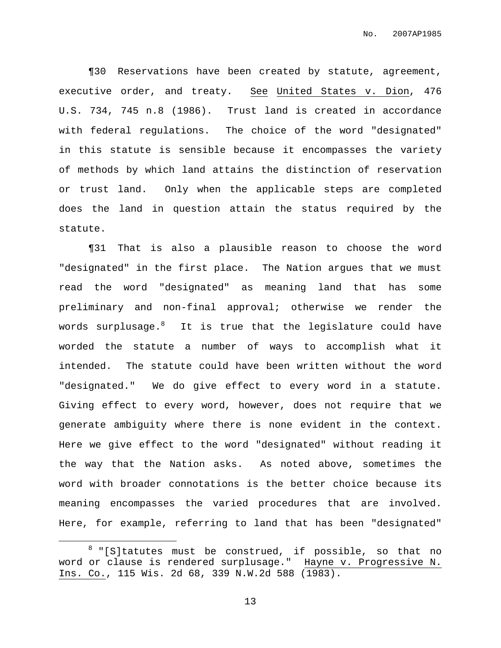¶30 Reservations have been created by statute, agreement, executive order, and treaty. See United States v. Dion, 476 U.S. 734, 745 n.8 (1986). Trust land is created in accordance with federal regulations. The choice of the word "designated" in this statute is sensible because it encompasses the variety of methods by which land attains the distinction of reservation or trust land. Only when the applicable steps are completed does the land in question attain the status required by the statute.

¶31 That is also a plausible reason to choose the word "designated" in the first place. The Nation argues that we must read the word "designated" as meaning land that has some preliminary and non-final approval; otherwise we render the words surplusage. $^8\quad$  It is true that the legislature could have worded the statute a number of ways to accomplish what it intended. The statute could have been written without the word "designated." We do give effect to every word in a statute. Giving effect to every word, however, does not require that we generate ambiguity where there is none evident in the context. Here we give effect to the word "designated" without reading it the way that the Nation asks. As noted above, sometimes the word with broader connotations is the better choice because its meaning encompasses the varied procedures that are involved. Here, for example, referring to land that has been "designated"

 $8$  "[S]tatutes must be construed, if possible, so that no word or clause is rendered surplusage." Hayne v. Progressive N. Ins. Co., 115 Wis. 2d 68, 339 N.W.2d 588 (1983).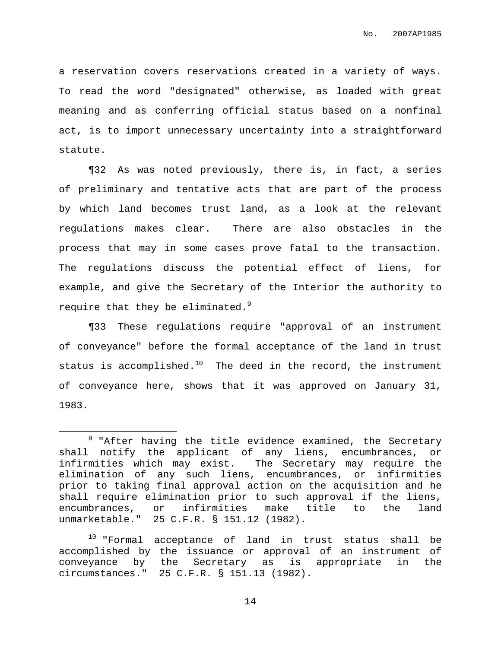a reservation covers reservations created in a variety of ways. To read the word "designated" otherwise, as loaded with great meaning and as conferring official status based on a nonfinal act, is to import unnecessary uncertainty into a straightforward statute.

¶32 As was noted previously, there is, in fact, a series of preliminary and tentative acts that are part of the process by which land becomes trust land, as a look at the relevant regulations makes clear. There are also obstacles in the process that may in some cases prove fatal to the transaction. The regulations discuss the potential effect of liens, for example, and give the Secretary of the Interior the authority to require that they be eliminated. 9

¶33 These regulations require "approval of an instrument of conveyance" before the formal acceptance of the land in trust status is accomplished. $^{10}$  The deed in the record, the instrument of conveyance here, shows that it was approved on January 31, 1983.

 $9$  "After having the title evidence examined, the Secretary shall notify the applicant of any liens, encumbrances, or infirmities which may exist. The Secretary may require the elimination of any such liens, encumbrances, or infirmities prior to taking final approval action on the acquisition and he shall require elimination prior to such approval if the liens, encumbrances, or infirmities make title to the land unmarketable." 25 C.F.R. § 151.12 (1982).

<sup>&</sup>lt;sup>10</sup> "Formal acceptance of land in trust status shall be accomplished by the issuance or approval of an instrument of conveyance by the Secretary as is appropriate in the circumstances." 25 C.F.R. § 151.13 (1982).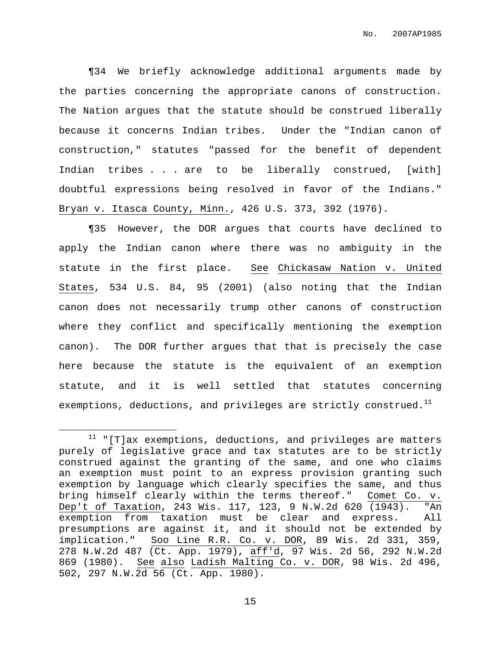¶34 We briefly acknowledge additional arguments made by the parties concerning the appropriate canons of construction. The Nation argues that the statute should be construed liberally because it concerns Indian tribes. Under the "Indian canon of construction," statutes "passed for the benefit of dependent Indian tribes . . . are to be liberally construed, [with] doubtful expressions being resolved in favor of the Indians." Bryan v. Itasca County, Minn., 426 U.S. 373, 392 (1976).

¶35 However, the DOR argues that courts have declined to apply the Indian canon where there was no ambiguity in the statute in the first place. See Chickasaw Nation v. United States, 534 U.S. 84, 95 (2001) (also noting that the Indian canon does not necessarily trump other canons of construction where they conflict and specifically mentioning the exemption canon). The DOR further argues that that is precisely the case here because the statute is the equivalent of an exemption statute, and it is well settled that statutes concerning exemptions, deductions, and privileges are strictly construed. $^{\rm 11}$ 

 $11$  "[T]ax exemptions, deductions, and privileges are matters purely of legislative grace and tax statutes are to be strictly construed against the granting of the same, and one who claims an exemption must point to an express provision granting such exemption by language which clearly specifies the same, and thus bring himself clearly within the terms thereof." Comet Co. v. Dep't of Taxation, 243 Wis. 117, 123, 9 N.W.2d 620 (1943). "An exemption from taxation must be clear and express. All presumptions are against it, and it should not be extended by implication." Soo Line R.R. Co. v. DOR, 89 Wis. 2d 331, 359, 278 N.W.2d 487 (Ct. App. 1979), aff'd, 97 Wis. 2d 56, 292 N.W.2d 869 (1980). See also Ladish Malting Co. v. DOR, 98 Wis. 2d 496, 502, 297 N.W.2d 56 (Ct. App. 1980).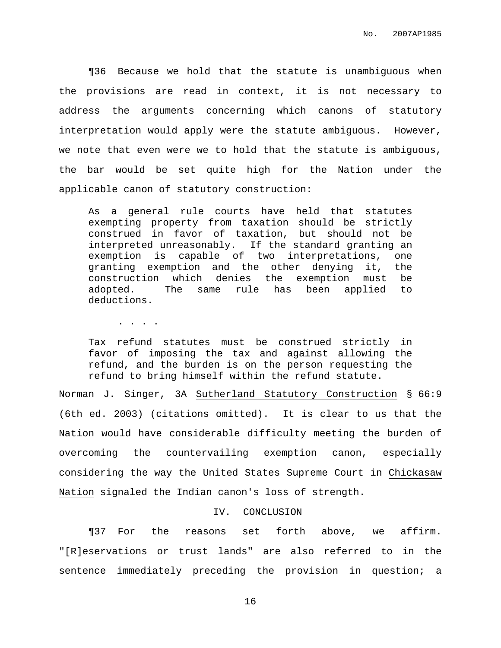¶36 Because we hold that the statute is unambiguous when the provisions are read in context, it is not necessary to address the arguments concerning which canons of statutory interpretation would apply were the statute ambiguous. However, we note that even were we to hold that the statute is ambiguous, the bar would be set quite high for the Nation under the applicable canon of statutory construction:

As a general rule courts have held that statutes exempting property from taxation should be strictly construed in favor of taxation, but should not be interpreted unreasonably. If the standard granting an exemption is capable of two interpretations, one granting exemption and the other denying it, the construction which denies the exemption must be adopted. The same rule has been applied to deductions.

. . . .

Tax refund statutes must be construed strictly in favor of imposing the tax and against allowing the refund, and the burden is on the person requesting the refund to bring himself within the refund statute.

Norman J. Singer, 3A Sutherland Statutory Construction § 66:9 (6th ed. 2003) (citations omitted). It is clear to us that the Nation would have considerable difficulty meeting the burden of overcoming the countervailing exemption canon, especially considering the way the United States Supreme Court in Chickasaw Nation signaled the Indian canon's loss of strength.

#### IV. CONCLUSION

¶37 For the reasons set forth above, we affirm. "[R]eservations or trust lands" are also referred to in the sentence immediately preceding the provision in question; a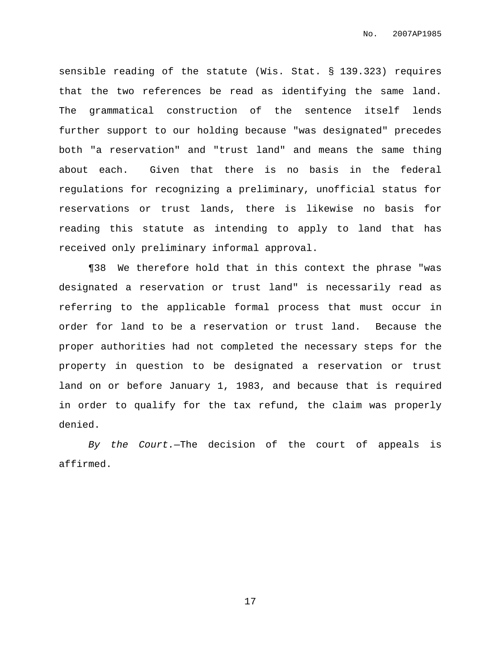sensible reading of the statute (Wis. Stat. § 139.323) requires that the two references be read as identifying the same land. The grammatical construction of the sentence itself lends further support to our holding because "was designated" precedes both "a reservation" and "trust land" and means the same thing about each. Given that there is no basis in the federal regulations for recognizing a preliminary, unofficial status for reservations or trust lands, there is likewise no basis for reading this statute as intending to apply to land that has received only preliminary informal approval.

¶38 We therefore hold that in this context the phrase "was designated a reservation or trust land" is necessarily read as referring to the applicable formal process that must occur in order for land to be a reservation or trust land. Because the proper authorities had not completed the necessary steps for the property in question to be designated a reservation or trust land on or before January 1, 1983, and because that is required in order to qualify for the tax refund, the claim was properly denied.

By the Court.-The decision of the court of appeals is affirmed.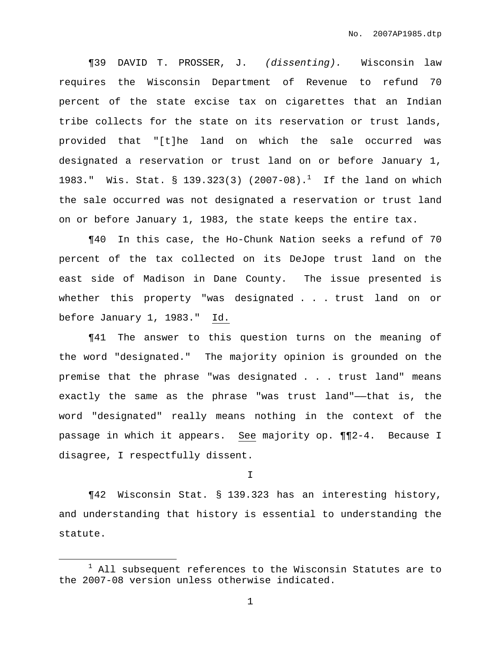¶39 DAVID T. PROSSER, J. (dissenting). Wisconsin law requires the Wisconsin Department of Revenue to refund 70 percent of the state excise tax on cigarettes that an Indian tribe collects for the state on its reservation or trust lands, provided that "[t]he land on which the sale occurred was designated a reservation or trust land on or before January 1, 1983." Wis. Stat. § 139.323(3) (2007-08). $^1$  If the land on which the sale occurred was not designated a reservation or trust land on or before January 1, 1983, the state keeps the entire tax.

¶40 In this case, the Ho-Chunk Nation seeks a refund of 70 percent of the tax collected on its DeJope trust land on the east side of Madison in Dane County. The issue presented is whether this property "was designated . . . trust land on or before January 1, 1983." Id.

¶41 The answer to this question turns on the meaning of the word "designated." The majority opinion is grounded on the premise that the phrase "was designated . . . trust land" means exactly the same as the phrase "was trust land"——that is, the word "designated" really means nothing in the context of the passage in which it appears. See majority op. ¶¶2-4. Because I disagree, I respectfully dissent.

I

¶42 Wisconsin Stat. § 139.323 has an interesting history, and understanding that history is essential to understanding the statute.

 $1$  All subsequent references to the Wisconsin Statutes are to the 2007-08 version unless otherwise indicated.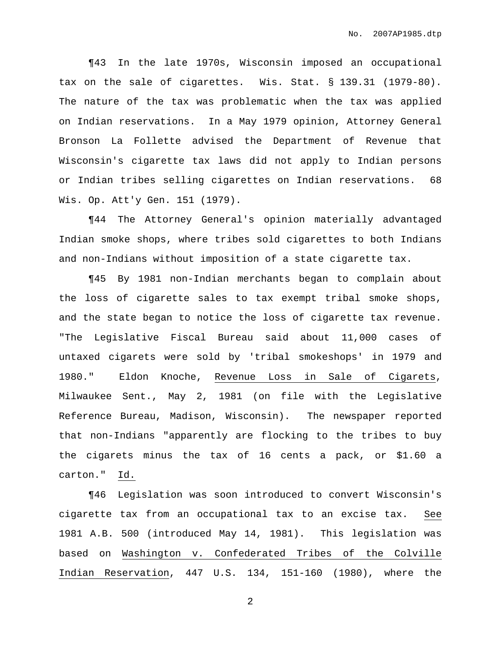¶43 In the late 1970s, Wisconsin imposed an occupational tax on the sale of cigarettes. Wis. Stat. § 139.31 (1979-80). The nature of the tax was problematic when the tax was applied on Indian reservations. In a May 1979 opinion, Attorney General Bronson La Follette advised the Department of Revenue that Wisconsin's cigarette tax laws did not apply to Indian persons or Indian tribes selling cigarettes on Indian reservations. 68 Wis. Op. Att'y Gen. 151 (1979).

¶44 The Attorney General's opinion materially advantaged Indian smoke shops, where tribes sold cigarettes to both Indians and non-Indians without imposition of a state cigarette tax.

¶45 By 1981 non-Indian merchants began to complain about the loss of cigarette sales to tax exempt tribal smoke shops, and the state began to notice the loss of cigarette tax revenue. "The Legislative Fiscal Bureau said about 11,000 cases of untaxed cigarets were sold by 'tribal smokeshops' in 1979 and 1980." Eldon Knoche, Revenue Loss in Sale of Cigarets, Milwaukee Sent., May 2, 1981 (on file with the Legislative Reference Bureau, Madison, Wisconsin). The newspaper reported that non-Indians "apparently are flocking to the tribes to buy the cigarets minus the tax of 16 cents a pack, or \$1.60 a carton." Id.

¶46 Legislation was soon introduced to convert Wisconsin's cigarette tax from an occupational tax to an excise tax. See 1981 A.B. 500 (introduced May 14, 1981). This legislation was based on Washington v. Confederated Tribes of the Colville Indian Reservation, 447 U.S. 134, 151-160 (1980), where the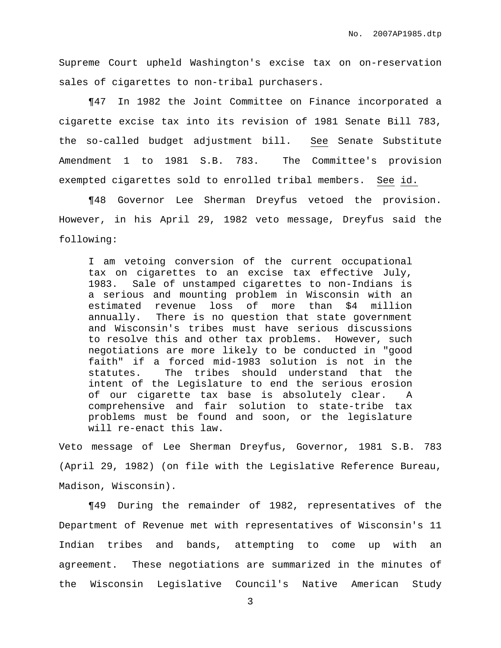Supreme Court upheld Washington's excise tax on on-reservation sales of cigarettes to non-tribal purchasers.

¶47 In 1982 the Joint Committee on Finance incorporated a cigarette excise tax into its revision of 1981 Senate Bill 783, the so-called budget adjustment bill. See Senate Substitute Amendment 1 to 1981 S.B. 783. The Committee's provision exempted cigarettes sold to enrolled tribal members. See id.

¶48 Governor Lee Sherman Dreyfus vetoed the provision. However, in his April 29, 1982 veto message, Dreyfus said the following:

I am vetoing conversion of the current occupational tax on cigarettes to an excise tax effective July, 1983. Sale of unstamped cigarettes to non-Indians is a serious and mounting problem in Wisconsin with an estimated revenue loss of more than \$4 million annually. There is no question that state government and Wisconsin's tribes must have serious discussions to resolve this and other tax problems. However, such negotiations are more likely to be conducted in "good faith" if a forced mid-1983 solution is not in the statutes. The tribes should understand that the intent of the Legislature to end the serious erosion of our cigarette tax base is absolutely clear. A comprehensive and fair solution to state-tribe tax problems must be found and soon, or the legislature will re-enact this law.

Veto message of Lee Sherman Dreyfus, Governor, 1981 S.B. 783 (April 29, 1982) (on file with the Legislative Reference Bureau, Madison, Wisconsin).

¶49 During the remainder of 1982, representatives of the Department of Revenue met with representatives of Wisconsin's 11 Indian tribes and bands, attempting to come up with an agreement. These negotiations are summarized in the minutes of the Wisconsin Legislative Council's Native American Study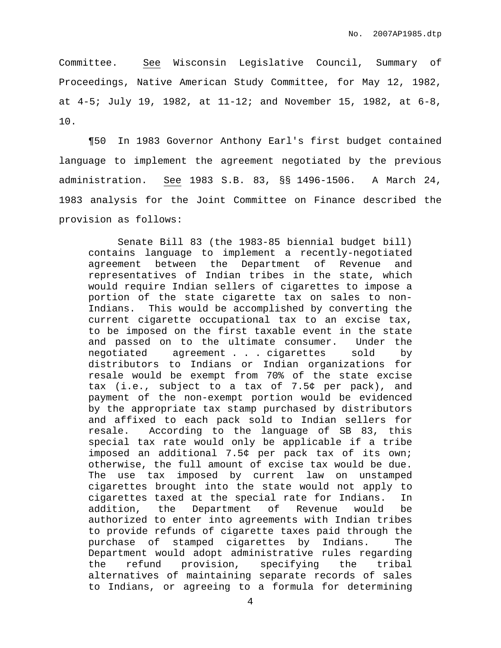Committee. See Wisconsin Legislative Council, Summary of Proceedings, Native American Study Committee, for May 12, 1982, at 4-5; July 19, 1982, at 11-12; and November 15, 1982, at 6-8, 10.

¶50 In 1983 Governor Anthony Earl's first budget contained language to implement the agreement negotiated by the previous administration. See 1983 S.B. 83, §§ 1496-1506. A March 24, 1983 analysis for the Joint Committee on Finance described the provision as follows:

Senate Bill 83 (the 1983-85 biennial budget bill) contains language to implement a recently-negotiated agreement between the Department of Revenue and representatives of Indian tribes in the state, which would require Indian sellers of cigarettes to impose a portion of the state cigarette tax on sales to non-Indians. This would be accomplished by converting the current cigarette occupational tax to an excise tax, to be imposed on the first taxable event in the state and passed on to the ultimate consumer. Under the negotiated agreement . . . cigarettes sold by distributors to Indians or Indian organizations for resale would be exempt from 70% of the state excise tax (i.e., subject to a tax of 7.5¢ per pack), and payment of the non-exempt portion would be evidenced by the appropriate tax stamp purchased by distributors and affixed to each pack sold to Indian sellers for resale. According to the language of SB 83, this special tax rate would only be applicable if a tribe imposed an additional 7.5¢ per pack tax of its own; otherwise, the full amount of excise tax would be due. The use tax imposed by current law on unstamped cigarettes brought into the state would not apply to cigarettes taxed at the special rate for Indians. In addition, the Department of Revenue would be authorized to enter into agreements with Indian tribes to provide refunds of cigarette taxes paid through the purchase of stamped cigarettes by Indians. The Department would adopt administrative rules regarding the refund provision, specifying the tribal alternatives of maintaining separate records of sales to Indians, or agreeing to a formula for determining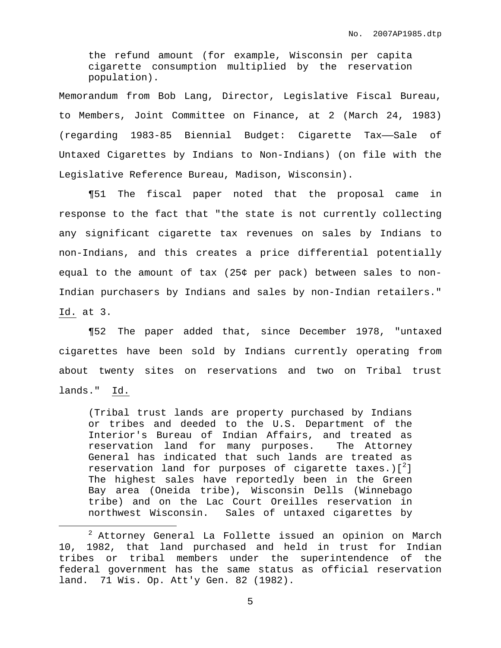the refund amount (for example, Wisconsin per capita cigarette consumption multiplied by the reservation population).

Memorandum from Bob Lang, Director, Legislative Fiscal Bureau, to Members, Joint Committee on Finance, at 2 (March 24, 1983) (regarding 1983-85 Biennial Budget: Cigarette Tax——Sale of Untaxed Cigarettes by Indians to Non-Indians) (on file with the Legislative Reference Bureau, Madison, Wisconsin).

¶51 The fiscal paper noted that the proposal came in response to the fact that "the state is not currently collecting any significant cigarette tax revenues on sales by Indians to non-Indians, and this creates a price differential potentially equal to the amount of tax (25¢ per pack) between sales to non-Indian purchasers by Indians and sales by non-Indian retailers." Id. at 3.

¶52 The paper added that, since December 1978, "untaxed cigarettes have been sold by Indians currently operating from about twenty sites on reservations and two on Tribal trust lands." Id.

(Tribal trust lands are property purchased by Indians or tribes and deeded to the U.S. Department of the Interior's Bureau of Indian Affairs, and treated as reservation land for many purposes. The Attorney General has indicated that such lands are treated as reservation land for purposes of cigarette taxes.)[ $^2$ ] The highest sales have reportedly been in the Green Bay area (Oneida tribe), Wisconsin Dells (Winnebago tribe) and on the Lac Court Oreilles reservation in northwest Wisconsin. Sales of untaxed cigarettes by

<sup>2</sup> Attorney General La Follette issued an opinion on March 10, 1982, that land purchased and held in trust for Indian tribes or tribal members under the superintendence of the federal government has the same status as official reservation land. 71 Wis. Op. Att'y Gen. 82 (1982).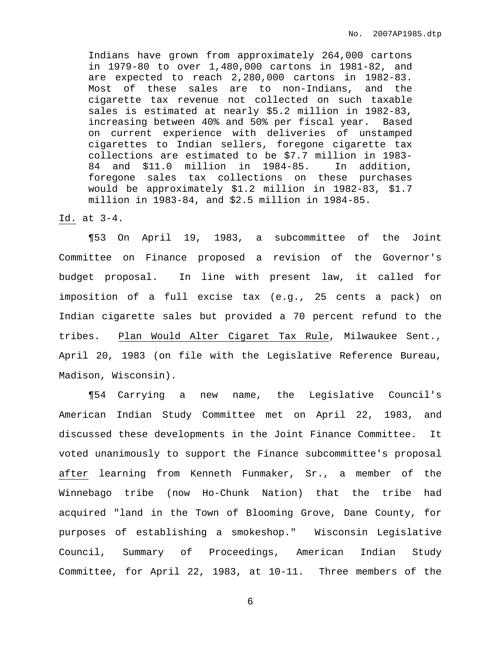Indians have grown from approximately 264,000 cartons in 1979-80 to over 1,480,000 cartons in 1981-82, and are expected to reach 2,280,000 cartons in 1982-83. Most of these sales are to non-Indians, and the cigarette tax revenue not collected on such taxable sales is estimated at nearly \$5.2 million in 1982-83, increasing between 40% and 50% per fiscal year. Based on current experience with deliveries of unstamped cigarettes to Indian sellers, foregone cigarette tax collections are estimated to be \$7.7 million in 1983- 84 and \$11.0 million in 1984-85. In addition, foregone sales tax collections on these purchases would be approximately \$1.2 million in 1982-83, \$1.7 million in 1983-84, and \$2.5 million in 1984-85.

Id. at 3-4.

¶53 On April 19, 1983, a subcommittee of the Joint Committee on Finance proposed a revision of the Governor's budget proposal. In line with present law, it called for imposition of a full excise tax (e.g., 25 cents a pack) on Indian cigarette sales but provided a 70 percent refund to the tribes. Plan Would Alter Cigaret Tax Rule, Milwaukee Sent., April 20, 1983 (on file with the Legislative Reference Bureau, Madison, Wisconsin).

¶54 Carrying a new name, the Legislative Council's American Indian Study Committee met on April 22, 1983, and discussed these developments in the Joint Finance Committee. It voted unanimously to support the Finance subcommittee's proposal after learning from Kenneth Funmaker, Sr., a member of the Winnebago tribe (now Ho-Chunk Nation) that the tribe had acquired "land in the Town of Blooming Grove, Dane County, for purposes of establishing a smokeshop." Wisconsin Legislative Council, Summary of Proceedings, American Indian Study Committee, for April 22, 1983, at 10-11. Three members of the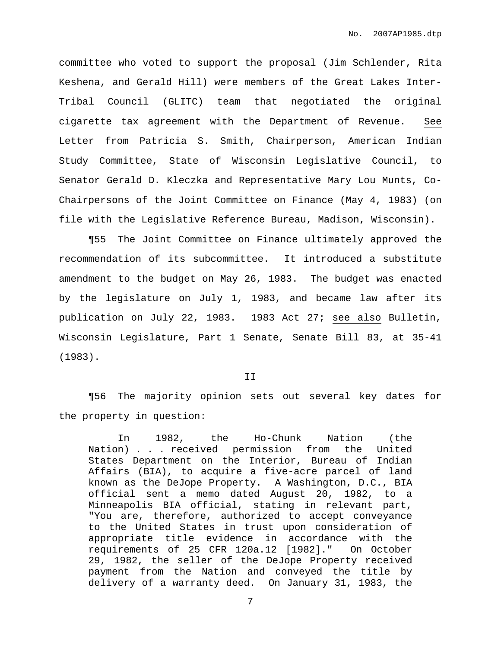committee who voted to support the proposal (Jim Schlender, Rita Keshena, and Gerald Hill) were members of the Great Lakes Inter-Tribal Council (GLITC) team that negotiated the original cigarette tax agreement with the Department of Revenue. See Letter from Patricia S. Smith, Chairperson, American Indian Study Committee, State of Wisconsin Legislative Council, to Senator Gerald D. Kleczka and Representative Mary Lou Munts, Co-Chairpersons of the Joint Committee on Finance (May 4, 1983) (on file with the Legislative Reference Bureau, Madison, Wisconsin).

¶55 The Joint Committee on Finance ultimately approved the recommendation of its subcommittee. It introduced a substitute amendment to the budget on May 26, 1983. The budget was enacted by the legislature on July 1, 1983, and became law after its publication on July 22, 1983. 1983 Act 27; see also Bulletin, Wisconsin Legislature, Part 1 Senate, Senate Bill 83, at 35-41 (1983).

#### II

¶56 The majority opinion sets out several key dates for the property in question:

In 1982, the Ho-Chunk Nation (the Nation) . . . received permission from the United States Department on the Interior, Bureau of Indian Affairs (BIA), to acquire a five-acre parcel of land known as the DeJope Property. A Washington, D.C., BIA official sent a memo dated August 20, 1982, to a Minneapolis BIA official, stating in relevant part, "You are, therefore, authorized to accept conveyance to the United States in trust upon consideration of appropriate title evidence in accordance with the requirements of 25 CFR 120a.12 [1982]." On October 29, 1982, the seller of the DeJope Property received payment from the Nation and conveyed the title by delivery of a warranty deed. On January 31, 1983, the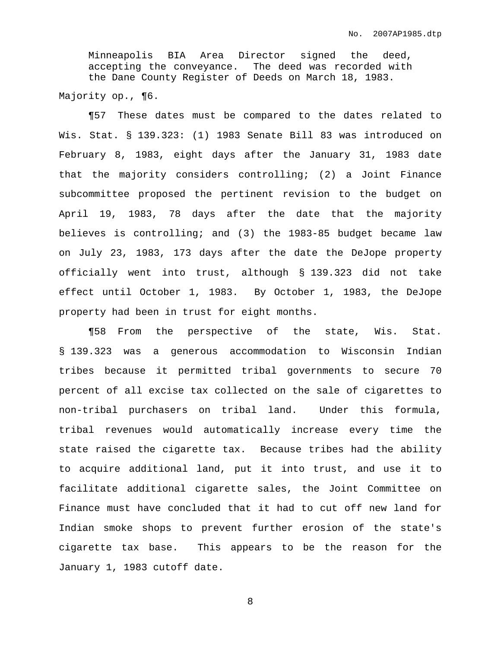Minneapolis BIA Area Director signed the deed, accepting the conveyance. The deed was recorded with the Dane County Register of Deeds on March 18, 1983.

Majority op., ¶6.

¶57 These dates must be compared to the dates related to Wis. Stat. § 139.323: (1) 1983 Senate Bill 83 was introduced on February 8, 1983, eight days after the January 31, 1983 date that the majority considers controlling; (2) a Joint Finance subcommittee proposed the pertinent revision to the budget on April 19, 1983, 78 days after the date that the majority believes is controlling; and (3) the 1983-85 budget became law on July 23, 1983, 173 days after the date the DeJope property officially went into trust, although § 139.323 did not take effect until October 1, 1983. By October 1, 1983, the DeJope property had been in trust for eight months.

¶58 From the perspective of the state, Wis. Stat. § 139.323 was a generous accommodation to Wisconsin Indian tribes because it permitted tribal governments to secure 70 percent of all excise tax collected on the sale of cigarettes to non-tribal purchasers on tribal land. Under this formula, tribal revenues would automatically increase every time the state raised the cigarette tax. Because tribes had the ability to acquire additional land, put it into trust, and use it to facilitate additional cigarette sales, the Joint Committee on Finance must have concluded that it had to cut off new land for Indian smoke shops to prevent further erosion of the state's cigarette tax base. This appears to be the reason for the January 1, 1983 cutoff date.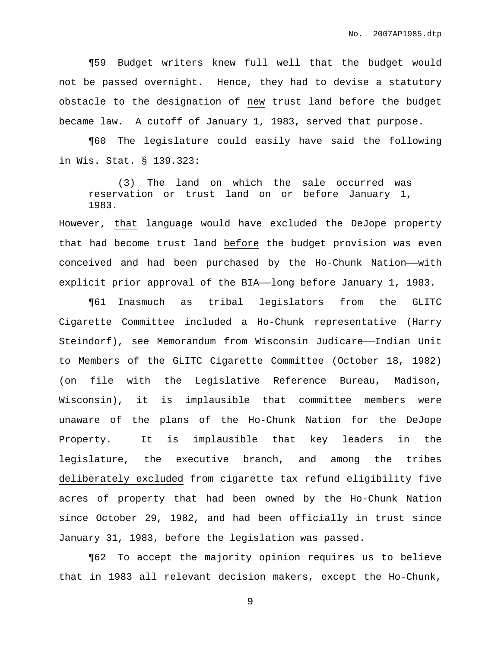¶59 Budget writers knew full well that the budget would not be passed overnight. Hence, they had to devise a statutory obstacle to the designation of new trust land before the budget became law. A cutoff of January 1, 1983, served that purpose.

¶60 The legislature could easily have said the following in Wis. Stat. § 139.323:

(3) The land on which the sale occurred was reservation or trust land on or before January 1, 1983.

However, that language would have excluded the DeJope property that had become trust land before the budget provision was even conceived and had been purchased by the Ho-Chunk Nation——with explicit prior approval of the BIA—long before January 1, 1983.

¶61 Inasmuch as tribal legislators from the GLITC Cigarette Committee included a Ho-Chunk representative (Harry Steindorf), see Memorandum from Wisconsin Judicare——Indian Unit to Members of the GLITC Cigarette Committee (October 18, 1982) (on file with the Legislative Reference Bureau, Madison, Wisconsin), it is implausible that committee members were unaware of the plans of the Ho-Chunk Nation for the DeJope Property. It is implausible that key leaders in the legislature, the executive branch, and among the tribes deliberately excluded from cigarette tax refund eligibility five acres of property that had been owned by the Ho-Chunk Nation since October 29, 1982, and had been officially in trust since January 31, 1983, before the legislation was passed.

¶62 To accept the majority opinion requires us to believe that in 1983 all relevant decision makers, except the Ho-Chunk,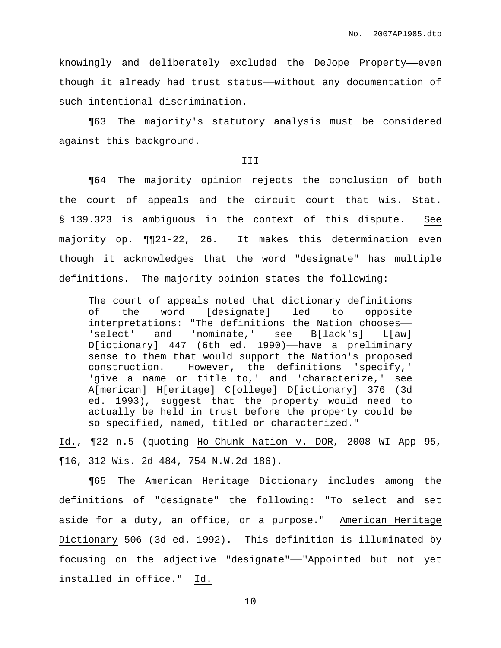knowingly and deliberately excluded the DeJope Property-even though it already had trust status——without any documentation of such intentional discrimination.

¶63 The majority's statutory analysis must be considered against this background.

## III

¶64 The majority opinion rejects the conclusion of both the court of appeals and the circuit court that Wis. Stat. § 139.323 is ambiguous in the context of this dispute. See majority op. ¶¶21-22, 26. It makes this determination even though it acknowledges that the word "designate" has multiple definitions. The majority opinion states the following:

The court of appeals noted that dictionary definitions of the word [designate] led to opposite interpretations: "The definitions the Nation chooses—— 'select' and 'nominate,' see B[lack's] L[aw]  $D[ictionary]$  447 (6th ed. 1990)—have a preliminary sense to them that would support the Nation's proposed construction. However, the definitions 'specify,' 'give a name or title to,' and 'characterize,' see A[merican] H[eritage] C[ollege] D[ictionary] 376 (3d ed. 1993), suggest that the property would need to actually be held in trust before the property could be so specified, named, titled or characterized."

Id., ¶22 n.5 (quoting Ho-Chunk Nation v. DOR, 2008 WI App 95, ¶16, 312 Wis. 2d 484, 754 N.W.2d 186).

¶65 The American Heritage Dictionary includes among the definitions of "designate" the following: "To select and set aside for a duty, an office, or a purpose." American Heritage Dictionary 506 (3d ed. 1992). This definition is illuminated by focusing on the adjective "designate"——"Appointed but not yet installed in office." Id.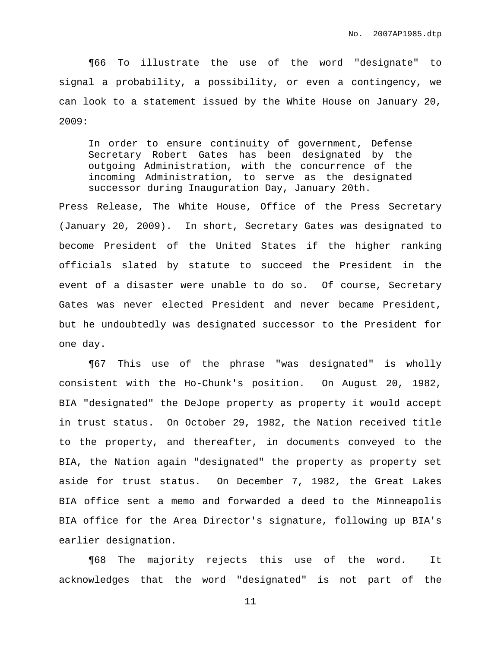¶66 To illustrate the use of the word "designate" to signal a probability, a possibility, or even a contingency, we can look to a statement issued by the White House on January 20, 2009:

In order to ensure continuity of government, Defense Secretary Robert Gates has been designated by the outgoing Administration, with the concurrence of the incoming Administration, to serve as the designated successor during Inauguration Day, January 20th.

Press Release, The White House, Office of the Press Secretary (January 20, 2009). In short, Secretary Gates was designated to become President of the United States if the higher ranking officials slated by statute to succeed the President in the event of a disaster were unable to do so. Of course, Secretary Gates was never elected President and never became President, but he undoubtedly was designated successor to the President for one day.

¶67 This use of the phrase "was designated" is wholly consistent with the Ho-Chunk's position. On August 20, 1982, BIA "designated" the DeJope property as property it would accept in trust status. On October 29, 1982, the Nation received title to the property, and thereafter, in documents conveyed to the BIA, the Nation again "designated" the property as property set aside for trust status. On December 7, 1982, the Great Lakes BIA office sent a memo and forwarded a deed to the Minneapolis BIA office for the Area Director's signature, following up BIA's earlier designation.

¶68 The majority rejects this use of the word. It acknowledges that the word "designated" is not part of the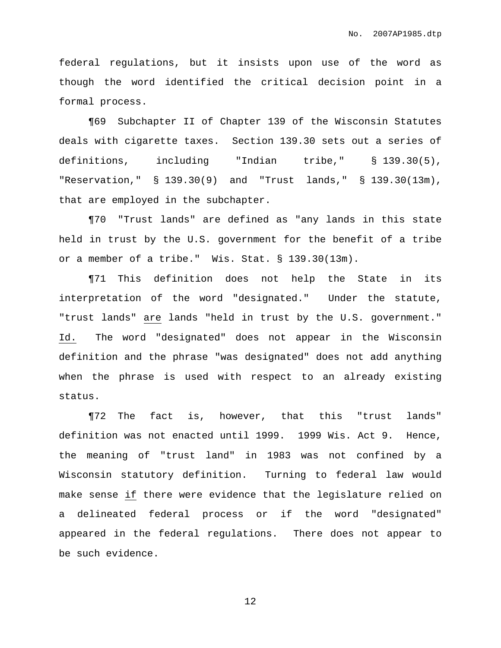federal regulations, but it insists upon use of the word as though the word identified the critical decision point in a formal process.

¶69 Subchapter II of Chapter 139 of the Wisconsin Statutes deals with cigarette taxes. Section 139.30 sets out a series of definitions, including "Indian tribe," § 139.30(5), "Reservation," § 139.30(9) and "Trust lands," § 139.30(13m), that are employed in the subchapter.

¶70 "Trust lands" are defined as "any lands in this state held in trust by the U.S. government for the benefit of a tribe or a member of a tribe." Wis. Stat. § 139.30(13m).

¶71 This definition does not help the State in its interpretation of the word "designated." Under the statute, "trust lands" are lands "held in trust by the U.S. government." Id. The word "designated" does not appear in the Wisconsin definition and the phrase "was designated" does not add anything when the phrase is used with respect to an already existing status.

¶72 The fact is, however, that this "trust lands" definition was not enacted until 1999. 1999 Wis. Act 9. Hence, the meaning of "trust land" in 1983 was not confined by a Wisconsin statutory definition. Turning to federal law would make sense if there were evidence that the legislature relied on a delineated federal process or if the word "designated" appeared in the federal regulations. There does not appear to be such evidence.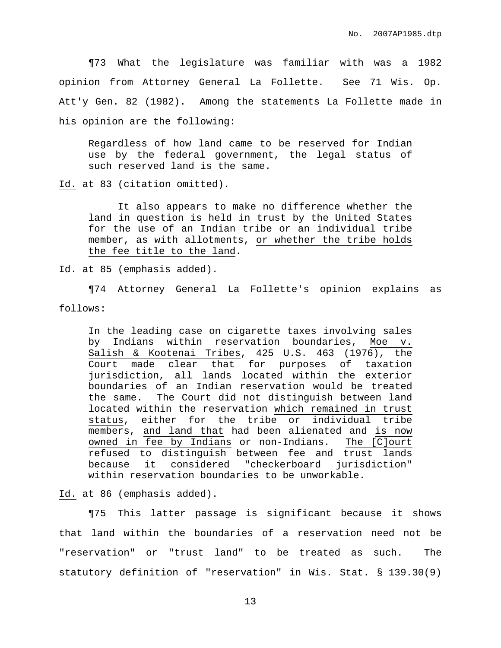¶73 What the legislature was familiar with was a 1982 opinion from Attorney General La Follette. See 71 Wis. Op. Att'y Gen. 82 (1982). Among the statements La Follette made in his opinion are the following:

Regardless of how land came to be reserved for Indian use by the federal government, the legal status of such reserved land is the same.

Id. at 83 (citation omitted).

It also appears to make no difference whether the land in question is held in trust by the United States for the use of an Indian tribe or an individual tribe member, as with allotments, or whether the tribe holds the fee title to the land.

Id. at 85 (emphasis added).

¶74 Attorney General La Follette's opinion explains as follows:

In the leading case on cigarette taxes involving sales by Indians within reservation boundaries, Moe v. Salish & Kootenai Tribes, 425 U.S. 463 (1976), the Court made clear that for purposes of taxation jurisdiction, all lands located within the exterior boundaries of an Indian reservation would be treated the same. The Court did not distinguish between land located within the reservation which remained in trust status, either for the tribe or individual tribe members, and land that had been alienated and is now owned in fee by Indians or non-Indians. The [C]ourt refused to distinguish between fee and trust lands because it considered "checkerboard jurisdiction" within reservation boundaries to be unworkable.

Id. at 86 (emphasis added).

¶75 This latter passage is significant because it shows that land within the boundaries of a reservation need not be "reservation" or "trust land" to be treated as such. The statutory definition of "reservation" in Wis. Stat. § 139.30(9)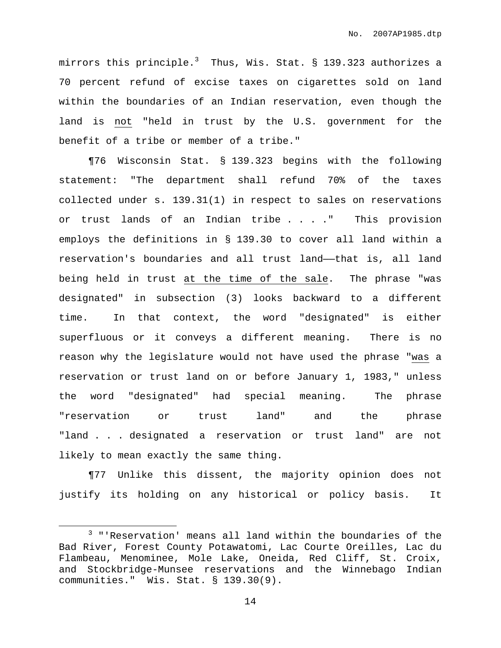mirrors this principle. $^3$  Thus, Wis. Stat. § 139.323 authorizes a 70 percent refund of excise taxes on cigarettes sold on land within the boundaries of an Indian reservation, even though the land is not "held in trust by the U.S. government for the benefit of a tribe or member of a tribe."

¶76 Wisconsin Stat. § 139.323 begins with the following statement: "The department shall refund 70% of the taxes collected under s. 139.31(1) in respect to sales on reservations or trust lands of an Indian tribe . . . ." This provision employs the definitions in § 139.30 to cover all land within a reservation's boundaries and all trust land——that is, all land being held in trust at the time of the sale. The phrase "was designated" in subsection (3) looks backward to a different time. In that context, the word "designated" is either superfluous or it conveys a different meaning. There is no reason why the legislature would not have used the phrase "was a reservation or trust land on or before January 1, 1983," unless the word "designated" had special meaning. The phrase "reservation or trust land" and the phrase "land . . . designated a reservation or trust land" are not likely to mean exactly the same thing.

¶77 Unlike this dissent, the majority opinion does not justify its holding on any historical or policy basis. It

<sup>3</sup> "'Reservation' means all land within the boundaries of the Bad River, Forest County Potawatomi, Lac Courte Oreilles, Lac du Flambeau, Menominee, Mole Lake, Oneida, Red Cliff, St. Croix, and Stockbridge-Munsee reservations and the Winnebago Indian communities." Wis. Stat. § 139.30(9).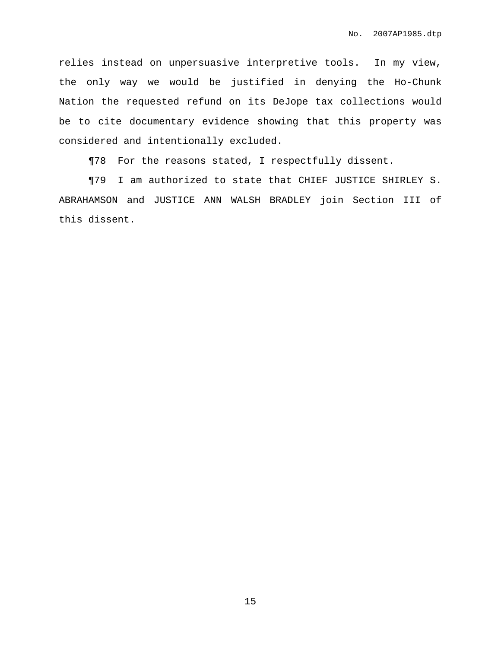relies instead on unpersuasive interpretive tools. In my view, the only way we would be justified in denying the Ho-Chunk Nation the requested refund on its DeJope tax collections would be to cite documentary evidence showing that this property was considered and intentionally excluded.

¶78 For the reasons stated, I respectfully dissent.

¶79 I am authorized to state that CHIEF JUSTICE SHIRLEY S. ABRAHAMSON and JUSTICE ANN WALSH BRADLEY join Section III of this dissent.